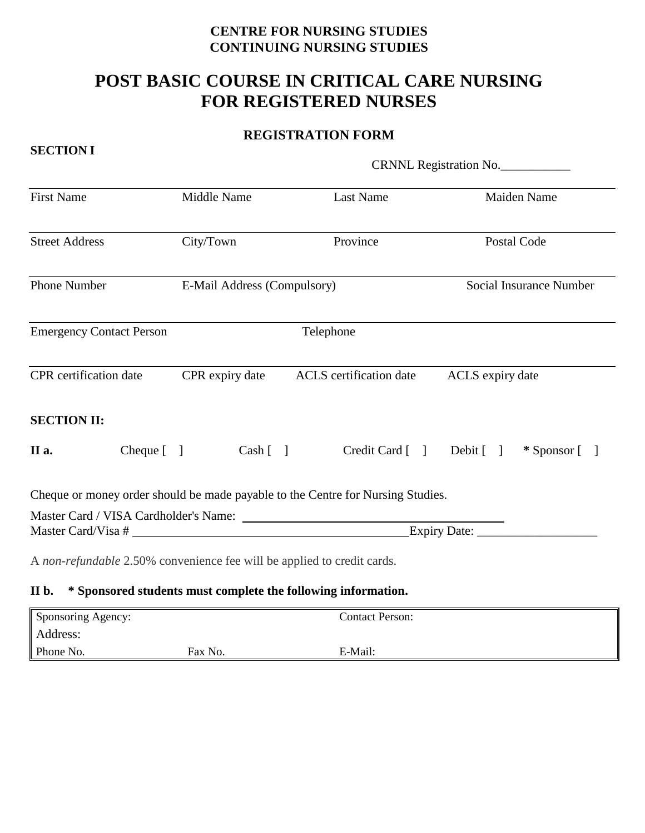## **CENTRE FOR NURSING STUDIES CONTINUING NURSING STUDIES**

# **POST BASIC COURSE IN CRITICAL CARE NURSING FOR REGISTERED NURSES**

### **REGISTRATION FORM**

|                                                                         |                             | CRNNL Registration No.                                                          |                                         |  |
|-------------------------------------------------------------------------|-----------------------------|---------------------------------------------------------------------------------|-----------------------------------------|--|
| <b>First Name</b>                                                       | Middle Name                 | <b>Last Name</b>                                                                | Maiden Name                             |  |
| <b>Street Address</b>                                                   | City/Town                   | Province                                                                        | Postal Code                             |  |
| Phone Number                                                            | E-Mail Address (Compulsory) |                                                                                 | <b>Social Insurance Number</b>          |  |
| <b>Emergency Contact Person</b>                                         |                             | Telephone                                                                       |                                         |  |
| <b>CPR</b> certification date                                           | CPR expiry date             | ACLS certification date<br>ACLS expiry date                                     |                                         |  |
| <b>SECTION II:</b>                                                      |                             |                                                                                 |                                         |  |
| II a.<br>$Cheque [$ ]                                                   |                             | Cash [ ]                                                                        | Credit Card [ ] Debit [ ] * Sponsor [ ] |  |
|                                                                         |                             | Cheque or money order should be made payable to the Centre for Nursing Studies. |                                         |  |
|                                                                         |                             |                                                                                 |                                         |  |
|                                                                         |                             |                                                                                 |                                         |  |
| A non-refundable 2.50% convenience fee will be applied to credit cards. |                             |                                                                                 |                                         |  |
| II b. * Sponsored students must complete the following information.     |                             |                                                                                 |                                         |  |

# Sponsoring Agency: Contact Person: Address: Phone No. **Fax No.** Fax No. **E-Mail:**

#### **SECTION I**